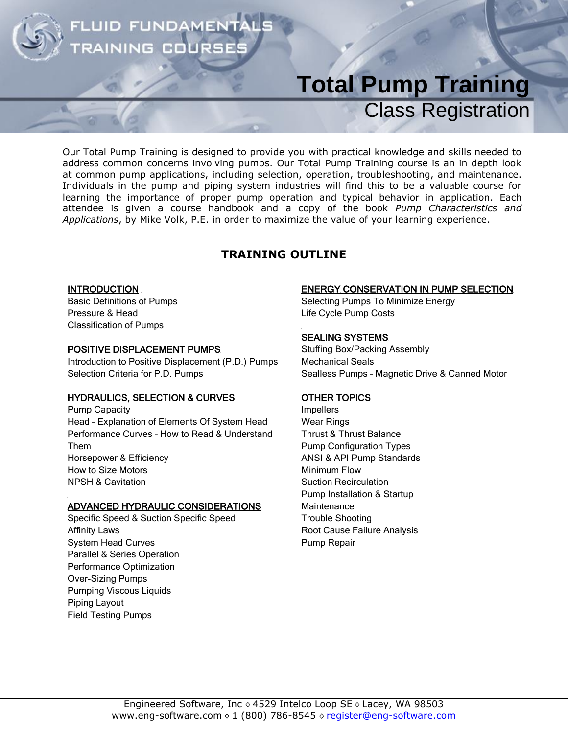### FLUID FUNDAMENTA **AINING COURS**

# **Total Pump Training** Class Registration

Our Total Pump Training is designed to provide you with practical knowledge and skills needed to address common concerns involving pumps. Our Total Pump Training course is an in depth look at common pump applications, including selection, operation, troubleshooting, and maintenance. Individuals in the pump and piping system industries will find this to be a valuable course for learning the importance of proper pump operation and typical behavior in application. Each attendee is given a course handbook and a copy of the book *Pump Characteristics and Applications*, by Mike Volk, P.E. in order to maximize the value of your learning experience.

### **TRAINING OUTLINE**

#### **INTRODUCTION**

Basic Definitions of Pumps Pressure & Head Classification of Pumps

#### POSITIVE DISPLACEMENT PUMPS

Introduction to Positive Displacement (P.D.) Pumps Selection Criteria for P.D. Pumps

#### HYDRAULICS, SELECTION & CURVES

Pump Capacity Head – Explanation of Elements Of System Head Performance Curves – How to Read & Understand Them Horsepower & Efficiency How to Size Motors NPSH & Cavitation

#### ADVANCED HYDRAULIC CONSIDERATIONS

Specific Speed & Suction Specific Speed Affinity Laws System Head Curves Parallel & Series Operation Performance Optimization Over-Sizing Pumps Pumping Viscous Liquids Piping Layout Field Testing Pumps

#### ENERGY CONSERVATION IN PUMP SELECTION

Selecting Pumps To Minimize Energy Life Cycle Pump Costs

#### SEALING SYSTEMS

Stuffing Box/Packing Assembly Mechanical Seals Sealless Pumps – Magnetic Drive & Canned Motor

#### OTHER TOPICS

Impellers Wear Rings Thrust & Thrust Balance Pump Configuration Types ANSI & API Pump Standards Minimum Flow Suction Recirculation Pump Installation & Startup **Maintenance** Trouble Shooting Root Cause Failure Analysis Pump Repair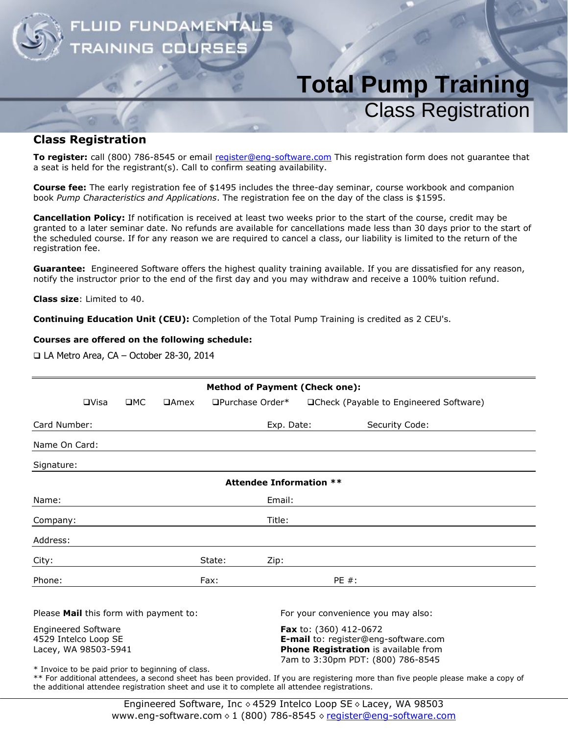

## **Total Pump Training** Class Registration

#### **Class Registration**

**To register:** call (800) 786-8545 or email [register@eng-software.com](mailto:register@eng-software.com) This registration form does not guarantee that a seat is held for the registrant(s). Call to confirm seating availability.

**Course fee:** The early registration fee of \$1495 includes the three-day seminar, course workbook and companion book *Pump Characteristics and Applications*. The registration fee on the day of the class is \$1595.

**Cancellation Policy:** If notification is received at least two weeks prior to the start of the course, credit may be granted to a later seminar date. No refunds are available for cancellations made less than 30 days prior to the start of the scheduled course. If for any reason we are required to cancel a class, our liability is limited to the return of the registration fee.

**Guarantee:** Engineered Software offers the highest quality training available. If you are dissatisfied for any reason, notify the instructor prior to the end of the first day and you may withdraw and receive a 100% tuition refund.

**Class size**: Limited to 40.

**Continuing Education Unit (CEU):** Completion of the Total Pump Training is credited as 2 CEU's.

#### **Courses are offered on the following schedule:**

LA Metro Area, CA – October 28-30, 2014

| <b>Method of Payment (Check one):</b>  |                                                                            |     |             |        |                                |                                                                                                                                             |                                         |  |
|----------------------------------------|----------------------------------------------------------------------------|-----|-------------|--------|--------------------------------|---------------------------------------------------------------------------------------------------------------------------------------------|-----------------------------------------|--|
|                                        | $\Box$ Visa                                                                | IMC | $\Box$ Amex |        | □Purchase Order*               |                                                                                                                                             | □Check (Payable to Engineered Software) |  |
| Card Number:                           |                                                                            |     |             |        | Exp. Date:                     |                                                                                                                                             | Security Code:                          |  |
| Name On Card:                          |                                                                            |     |             |        |                                |                                                                                                                                             |                                         |  |
| Signature:                             |                                                                            |     |             |        |                                |                                                                                                                                             |                                         |  |
|                                        |                                                                            |     |             |        | <b>Attendee Information **</b> |                                                                                                                                             |                                         |  |
| Name:                                  |                                                                            |     |             |        | Email:                         |                                                                                                                                             |                                         |  |
| Company:                               |                                                                            |     |             |        | Title:                         |                                                                                                                                             |                                         |  |
| Address:                               |                                                                            |     |             |        |                                |                                                                                                                                             |                                         |  |
| City:                                  |                                                                            |     |             | State: | Zip:                           |                                                                                                                                             |                                         |  |
| Phone:                                 |                                                                            |     |             | Fax:   |                                | $PE#$ :                                                                                                                                     |                                         |  |
| Please Mail this form with payment to: |                                                                            |     |             |        |                                |                                                                                                                                             | For your convenience you may also:      |  |
|                                        | <b>Engineered Software</b><br>4529 Intelco Loop SE<br>Lacey, WA 98503-5941 |     |             |        |                                | Fax to: (360) 412-0672<br>E-mail to: register@eng-software.com<br>Phone Registration is available from<br>7am to 3:30pm PDT: (800) 786-8545 |                                         |  |

\* Invoice to be paid prior to beginning of class.

\*\* For additional attendees, a second sheet has been provided. If you are registering more than five people please make a copy of the additional attendee registration sheet and use it to complete all attendee registrations.

> Engineered Software, Inc  $\lozenge$  4529 Intelco Loop SE  $\lozenge$  Lacey, WA 98503 www.eng-software.com  $\lozenge$  1 (800) 786-8545  $\lozenge$  [register@eng-software.com](mailto:register@eng-software.com)